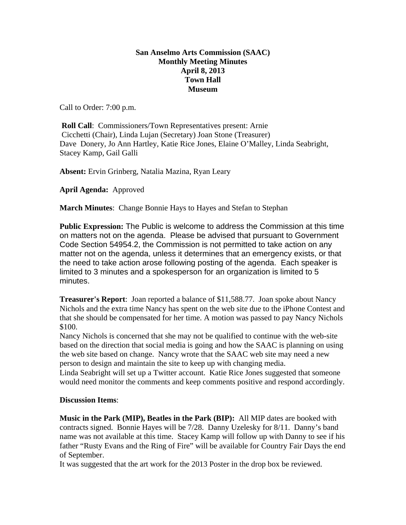## **San Anselmo Arts Commission (SAAC) Monthly Meeting Minutes April 8, 2013 Town Hall Museum**

Call to Order: 7:00 p.m.

**Roll Call:** Commissioners/Town Representatives present: Arnie Cicchetti (Chair), Linda Lujan (Secretary) Joan Stone (Treasurer) Dave Donery, Jo Ann Hartley, Katie Rice Jones, Elaine O'Malley, Linda Seabright, Stacey Kamp, Gail Galli

**Absent:** Ervin Grinberg, Natalia Mazina, Ryan Leary

**April Agenda:** Approved

**March Minutes**: Change Bonnie Hays to Hayes and Stefan to Stephan

**Public Expression:** The Public is welcome to address the Commission at this time on matters not on the agenda. Please be advised that pursuant to Government Code Section 54954.2, the Commission is not permitted to take action on any matter not on the agenda, unless it determines that an emergency exists, or that the need to take action arose following posting of the agenda. Each speaker is limited to 3 minutes and a spokesperson for an organization is limited to 5 minutes.

**Treasurer's Report**: Joan reported a balance of \$11,588.77. Joan spoke about Nancy Nichols and the extra time Nancy has spent on the web site due to the iPhone Contest and that she should be compensated for her time. A motion was passed to pay Nancy Nichols \$100.

Nancy Nichols is concerned that she may not be qualified to continue with the web-site based on the direction that social media is going and how the SAAC is planning on using the web site based on change. Nancy wrote that the SAAC web site may need a new person to design and maintain the site to keep up with changing media.

Linda Seabright will set up a Twitter account. Katie Rice Jones suggested that someone would need monitor the comments and keep comments positive and respond accordingly.

## **Discussion Items**:

**Music in the Park (MIP), Beatles in the Park (BIP):** All MIP dates are booked with contracts signed. Bonnie Hayes will be 7/28. Danny Uzelesky for 8/11. Danny's band name was not available at this time. Stacey Kamp will follow up with Danny to see if his father "Rusty Evans and the Ring of Fire" will be available for Country Fair Days the end of September.

It was suggested that the art work for the 2013 Poster in the drop box be reviewed.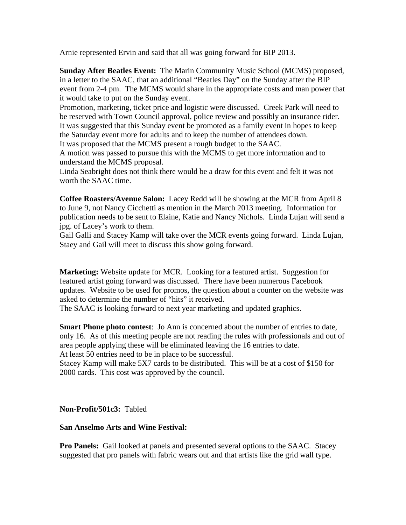Arnie represented Ervin and said that all was going forward for BIP 2013.

**Sunday After Beatles Event:** The Marin Community Music School (MCMS) proposed, in a letter to the SAAC, that an additional "Beatles Day" on the Sunday after the BIP event from 2-4 pm. The MCMS would share in the appropriate costs and man power that it would take to put on the Sunday event.

Promotion, marketing, ticket price and logistic were discussed. Creek Park will need to be reserved with Town Council approval, police review and possibly an insurance rider. It was suggested that this Sunday event be promoted as a family event in hopes to keep the Saturday event more for adults and to keep the number of attendees down. It was proposed that the MCMS present a rough budget to the SAAC.

A motion was passed to pursue this with the MCMS to get more information and to understand the MCMS proposal.

Linda Seabright does not think there would be a draw for this event and felt it was not worth the SAAC time.

**Coffee Roasters/Avenue Salon:** Lacey Redd will be showing at the MCR from April 8 to June 9, not Nancy Cicchetti as mention in the March 2013 meeting. Information for publication needs to be sent to Elaine, Katie and Nancy Nichols. Linda Lujan will send a jpg. of Lacey's work to them.

Gail Galli and Stacey Kamp will take over the MCR events going forward. Linda Lujan, Staey and Gail will meet to discuss this show going forward.

**Marketing:** Website update for MCR. Looking for a featured artist. Suggestion for featured artist going forward was discussed. There have been numerous Facebook updates. Website to be used for promos, the question about a counter on the website was asked to determine the number of "hits" it received.

The SAAC is looking forward to next year marketing and updated graphics.

**Smart Phone photo contest**: Jo Ann is concerned about the number of entries to date, only 16. As of this meeting people are not reading the rules with professionals and out of area people applying these will be eliminated leaving the 16 entries to date. At least 50 entries need to be in place to be successful.

Stacey Kamp will make 5X7 cards to be distributed. This will be at a cost of \$150 for 2000 cards. This cost was approved by the council.

**Non-Profit/501c3:** Tabled

## **San Anselmo Arts and Wine Festival:**

**Pro Panels:** Gail looked at panels and presented several options to the SAAC. Stacey suggested that pro panels with fabric wears out and that artists like the grid wall type.